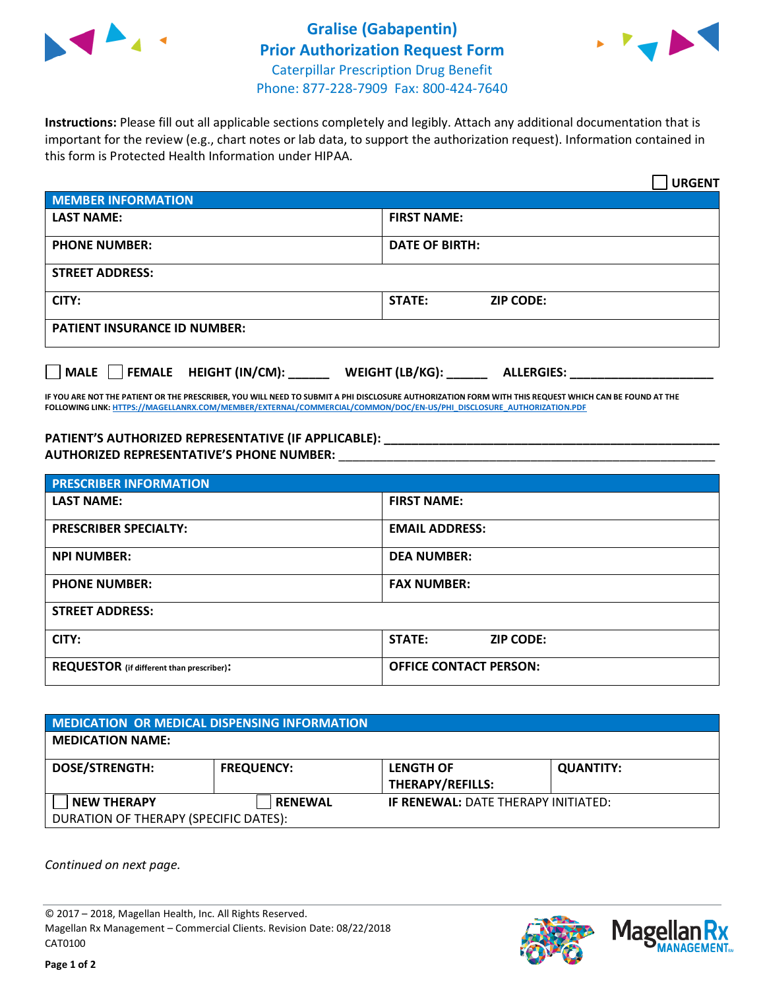



**Instructions:** Please fill out all applicable sections completely and legibly. Attach any additional documentation that is important for the review (e.g., chart notes or lab data, to support the authorization request). Information contained in this form is Protected Health Information under HIPAA.

|                                                              | <b>URGENT</b>                        |  |  |  |
|--------------------------------------------------------------|--------------------------------------|--|--|--|
| <b>MEMBER INFORMATION</b>                                    |                                      |  |  |  |
| <b>LAST NAME:</b>                                            | <b>FIRST NAME:</b>                   |  |  |  |
| <b>PHONE NUMBER:</b>                                         | <b>DATE OF BIRTH:</b>                |  |  |  |
| <b>STREET ADDRESS:</b>                                       |                                      |  |  |  |
| CITY:                                                        | <b>ZIP CODE:</b><br>STATE:           |  |  |  |
| <b>PATIENT INSURANCE ID NUMBER:</b>                          |                                      |  |  |  |
| FEMALE HEIGHT (IN/CM):<br>$\blacksquare$ MALE $\blacksquare$ | WEIGHT (LB/KG):<br><b>ALLERGIES:</b> |  |  |  |

**IF YOU ARE NOT THE PATIENT OR THE PRESCRIBER, YOU WILL NEED TO SUBMIT A PHI DISCLOSURE AUTHORIZATION FORM WITH THIS REQUEST WHICH CAN BE FOUND AT THE FOLLOWING LINK[: HTTPS://MAGELLANRX.COM/MEMBER/EXTERNAL/COMMERCIAL/COMMON/DOC/EN-US/PHI\\_DISCLOSURE\\_AUTHORIZATION.PDF](https://magellanrx.com/member/external/commercial/common/doc/en-us/PHI_Disclosure_Authorization.pdf)**

**PATIENT'S AUTHORIZED REPRESENTATIVE (IF APPLICABLE): \_\_\_\_\_\_\_\_\_\_\_\_\_\_\_\_\_\_\_\_\_\_\_\_\_\_\_\_\_\_\_\_\_\_\_\_\_\_\_\_\_\_\_\_\_\_\_\_\_ AUTHORIZED REPRESENTATIVE'S PHONE NUMBER:** \_\_\_\_\_\_\_\_\_\_\_\_\_\_\_\_\_\_\_\_\_\_\_\_\_\_\_\_\_\_\_\_\_\_\_\_\_\_\_\_\_\_\_\_\_\_\_\_\_\_\_\_\_\_\_

| <b>PRESCRIBER INFORMATION</b>             |                               |  |  |
|-------------------------------------------|-------------------------------|--|--|
| <b>LAST NAME:</b>                         | <b>FIRST NAME:</b>            |  |  |
| <b>PRESCRIBER SPECIALTY:</b>              | <b>EMAIL ADDRESS:</b>         |  |  |
| <b>NPI NUMBER:</b>                        | <b>DEA NUMBER:</b>            |  |  |
| <b>PHONE NUMBER:</b>                      | <b>FAX NUMBER:</b>            |  |  |
| <b>STREET ADDRESS:</b>                    |                               |  |  |
| CITY:                                     | STATE:<br><b>ZIP CODE:</b>    |  |  |
| REQUESTOR (if different than prescriber): | <b>OFFICE CONTACT PERSON:</b> |  |  |

| <b>MEDICATION OR MEDICAL DISPENSING INFORMATION</b>         |                   |                                             |                  |  |  |
|-------------------------------------------------------------|-------------------|---------------------------------------------|------------------|--|--|
| <b>MEDICATION NAME:</b>                                     |                   |                                             |                  |  |  |
| <b>DOSE/STRENGTH:</b>                                       | <b>FREQUENCY:</b> | <b>LENGTH OF</b><br><b>THERAPY/REFILLS:</b> | <b>QUANTITY:</b> |  |  |
| <b>NEW THERAPY</b><br>DURATION OF THERAPY (SPECIFIC DATES): | <b>RENEWAL</b>    | <b>IF RENEWAL: DATE THERAPY INITIATED:</b>  |                  |  |  |

*Continued on next page.*

© 2017 – 2018, Magellan Health, Inc. All Rights Reserved. Magellan Rx Management – Commercial Clients. Revision Date: 08/22/2018 CAT0100